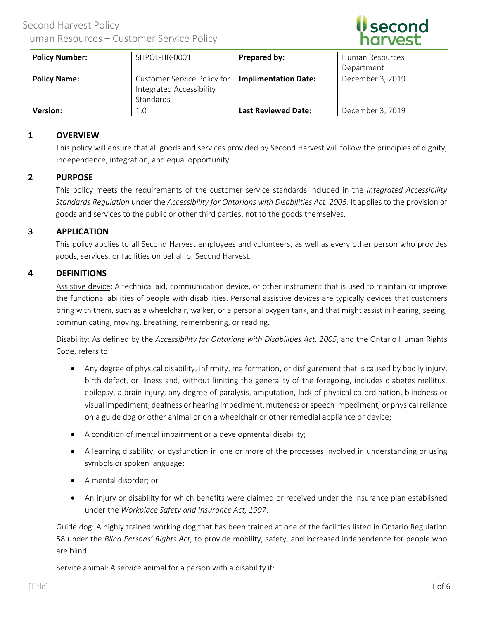

| <b>Policy Number:</b> | SHPOL-HR-0001                                                        | Prepared by:                | Human Resources  |
|-----------------------|----------------------------------------------------------------------|-----------------------------|------------------|
|                       |                                                                      |                             | Department       |
| <b>Policy Name:</b>   | Customer Service Policy for<br>Integrated Accessibility<br>Standards | <b>Implimentation Date:</b> | December 3, 2019 |
| <b>Version:</b>       | 1.0                                                                  | <b>Last Reviewed Date:</b>  | December 3, 2019 |

# **1 OVERVIEW**

This policy will ensure that all goods and services provided by Second Harvest will follow the principles of dignity, independence, integration, and equal opportunity.

# **2 PURPOSE**

This policy meets the requirements of the customer service standards included in the *Integrated Accessibility Standards Regulation* under the *Accessibility for Ontarians with Disabilities Act, 2005*. It applies to the provision of goods and services to the public or other third parties, not to the goods themselves.

## **3 APPLICATION**

This policy applies to all Second Harvest employees and volunteers, as well as every other person who provides goods, services, or facilities on behalf of Second Harvest.

## **4 DEFINITIONS**

Assistive device: A technical aid, communication device, or other instrument that is used to maintain or improve the functional abilities of people with disabilities. Personal assistive devices are typically devices that customers bring with them, such as a wheelchair, walker, or a personal oxygen tank, and that might assist in hearing, seeing, communicating, moving, breathing, remembering, or reading.

Disability: As defined by the *Accessibility for Ontarians with Disabilities Act, 2005*, and the Ontario Human Rights Code, refers to:

- Any degree of physical disability, infirmity, malformation, or disfigurement that is caused by bodily injury, birth defect, or illness and, without limiting the generality of the foregoing, includes diabetes mellitus, epilepsy, a brain injury, any degree of paralysis, amputation, lack of physical co-ordination, blindness or visual impediment, deafness or hearing impediment, muteness or speech impediment, or physical reliance on a guide dog or other animal or on a wheelchair or other remedial appliance or device;
- A condition of mental impairment or a developmental disability;
- A learning disability, or dysfunction in one or more of the processes involved in understanding or using symbols or spoken language;
- A mental disorder; or
- An injury or disability for which benefits were claimed or received under the insurance plan established under the *Workplace Safety and Insurance Act, 1997*.

Guide dog: A highly trained working dog that has been trained at one of the facilities listed in Ontario Regulation 58 under the *Blind Persons' Rights Act*, to provide mobility, safety, and increased independence for people who are blind.

Service animal: A service animal for a person with a disability if: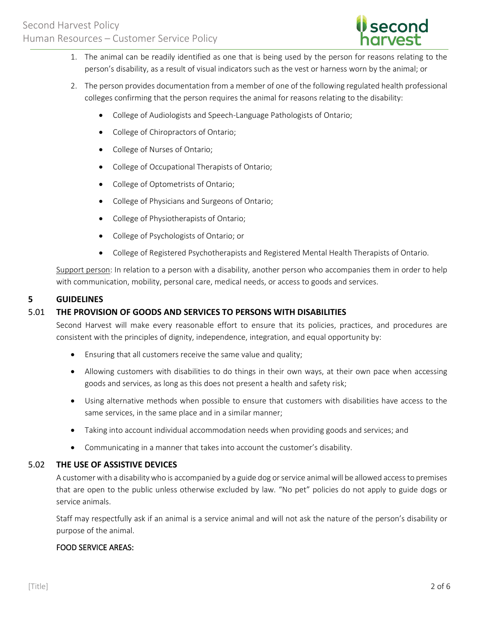

- 1. The animal can be readily identified as one that is being used by the person for reasons relating to the person's disability, as a result of visual indicators such as the vest or harness worn by the animal; or
- 2. The person provides documentation from a member of one of the following regulated health professional colleges confirming that the person requires the animal for reasons relating to the disability:
	- College of Audiologists and Speech-Language Pathologists of Ontario;
	- College of Chiropractors of Ontario;
	- College of Nurses of Ontario;
	- College of Occupational Therapists of Ontario;
	- College of Optometrists of Ontario;
	- College of Physicians and Surgeons of Ontario;
	- College of Physiotherapists of Ontario;
	- College of Psychologists of Ontario; or
	- College of Registered Psychotherapists and Registered Mental Health Therapists of Ontario.

Support person: In relation to a person with a disability, another person who accompanies them in order to help with communication, mobility, personal care, medical needs, or access to goods and services.

## **5 GUIDELINES**

# 5.01 **THE PROVISION OF GOODS AND SERVICES TO PERSONS WITH DISABILITIES**

Second Harvest will make every reasonable effort to ensure that its policies, practices, and procedures are consistent with the principles of dignity, independence, integration, and equal opportunity by:

- Ensuring that all customers receive the same value and quality;
- Allowing customers with disabilities to do things in their own ways, at their own pace when accessing goods and services, as long as this does not present a health and safety risk;
- Using alternative methods when possible to ensure that customers with disabilities have access to the same services, in the same place and in a similar manner;
- Taking into account individual accommodation needs when providing goods and services; and
- Communicating in a manner that takes into account the customer's disability.

#### 5.02 **THE USE OF ASSISTIVE DEVICES**

A customer with a disability who is accompanied by a guide dog or service animal will be allowed access to premises that are open to the public unless otherwise excluded by law. "No pet" policies do not apply to guide dogs or service animals.

Staff may respectfully ask if an animal is a service animal and will not ask the nature of the person's disability or purpose of the animal.

# FOOD SERVICE AREAS: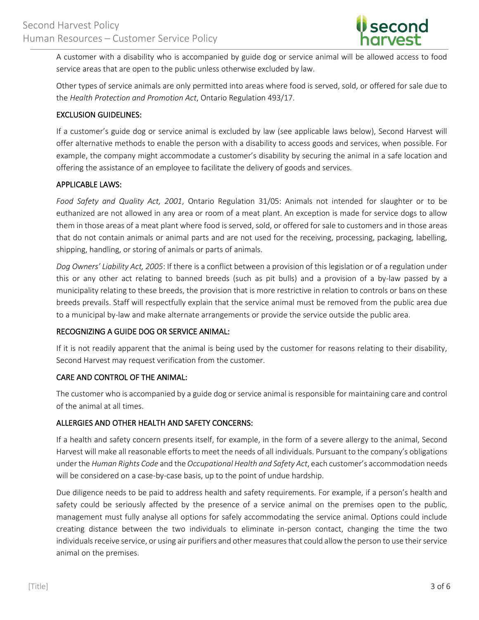

A customer with a disability who is accompanied by guide dog or service animal will be allowed access to food service areas that are open to the public unless otherwise excluded by law.

Other types of service animals are only permitted into areas where food is served, sold, or offered for sale due to the *Health Protection and Promotion Act*, Ontario Regulation 493/17.

# EXCLUSION GUIDELINES:

If a customer's guide dog or service animal is excluded by law (see applicable laws below), Second Harvest will offer alternative methods to enable the person with a disability to access goods and services, when possible. For example, the company might accommodate a customer's disability by securing the animal in a safe location and offering the assistance of an employee to facilitate the delivery of goods and services.

# APPLICABLE LAWS:

*Food Safety and Quality Act, 2001*, Ontario Regulation 31/05: Animals not intended for slaughter or to be euthanized are not allowed in any area or room of a meat plant. An exception is made for service dogs to allow them in those areas of a meat plant where food is served, sold, or offered for sale to customers and in those areas that do not contain animals or animal parts and are not used for the receiving, processing, packaging, labelling, shipping, handling, or storing of animals or parts of animals.

*Dog Owners' Liability Act, 2005*: If there is a conflict between a provision of this legislation or of a regulation under this or any other act relating to banned breeds (such as pit bulls) and a provision of a by-law passed by a municipality relating to these breeds, the provision that is more restrictive in relation to controls or bans on these breeds prevails. Staff will respectfully explain that the service animal must be removed from the public area due to a municipal by-law and make alternate arrangements or provide the service outside the public area.

# RECOGNIZING A GUIDE DOG OR SERVICE ANIMAL:

If it is not readily apparent that the animal is being used by the customer for reasons relating to their disability, Second Harvest may request verification from the customer.

# CARE AND CONTROL OF THE ANIMAL:

The customer who is accompanied by a guide dog or service animal is responsible for maintaining care and control of the animal at all times.

# ALLERGIES AND OTHER HEALTH AND SAFETY CONCERNS:

If a health and safety concern presents itself, for example, in the form of a severe allergy to the animal, Second Harvest will make all reasonable efforts to meet the needs of all individuals. Pursuant to the company's obligations under the *Human Rights Code* and the *Occupational Health and Safety Act*, each customer's accommodation needs will be considered on a case-by-case basis, up to the point of undue hardship.

Due diligence needs to be paid to address health and safety requirements. For example, if a person's health and safety could be seriously affected by the presence of a service animal on the premises open to the public, management must fully analyse all options for safely accommodating the service animal. Options could include creating distance between the two individuals to eliminate in-person contact, changing the time the two individuals receive service, or using air purifiers and other measures that could allow the person to use their service animal on the premises.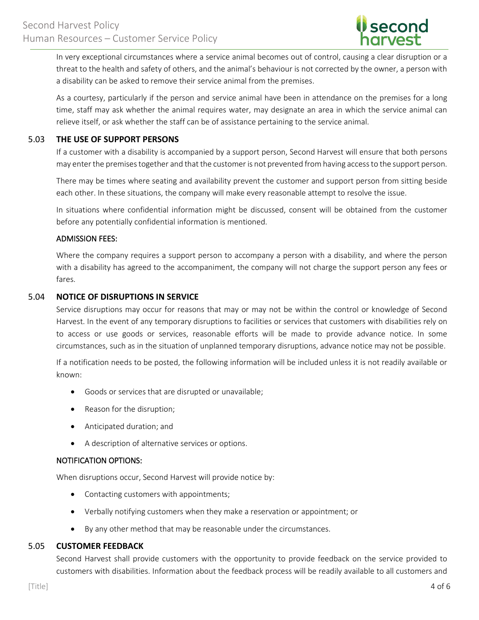

In very exceptional circumstances where a service animal becomes out of control, causing a clear disruption or a threat to the health and safety of others, and the animal's behaviour is not corrected by the owner, a person with a disability can be asked to remove their service animal from the premises.

As a courtesy, particularly if the person and service animal have been in attendance on the premises for a long time, staff may ask whether the animal requires water, may designate an area in which the service animal can relieve itself, or ask whether the staff can be of assistance pertaining to the service animal.

#### 5.03 **THE USE OF SUPPORT PERSONS**

If a customer with a disability is accompanied by a support person, Second Harvest will ensure that both persons may enter the premises together and that the customer is not prevented from having access to the support person.

There may be times where seating and availability prevent the customer and support person from sitting beside each other. In these situations, the company will make every reasonable attempt to resolve the issue.

In situations where confidential information might be discussed, consent will be obtained from the customer before any potentially confidential information is mentioned.

## ADMISSION FEES:

Where the company requires a support person to accompany a person with a disability, and where the person with a disability has agreed to the accompaniment, the company will not charge the support person any fees or fares.

## 5.04 **NOTICE OF DISRUPTIONS IN SERVICE**

Service disruptions may occur for reasons that may or may not be within the control or knowledge of Second Harvest. In the event of any temporary disruptions to facilities or services that customers with disabilities rely on to access or use goods or services, reasonable efforts will be made to provide advance notice. In some circumstances, such as in the situation of unplanned temporary disruptions, advance notice may not be possible.

If a notification needs to be posted, the following information will be included unless it is not readily available or known:

- Goods or services that are disrupted or unavailable;
- Reason for the disruption;
- Anticipated duration; and
- A description of alternative services or options.

#### NOTIFICATION OPTIONS:

When disruptions occur, Second Harvest will provide notice by:

- Contacting customers with appointments;
- Verbally notifying customers when they make a reservation or appointment; or
- By any other method that may be reasonable under the circumstances.

# 5.05 **CUSTOMER FEEDBACK**

Second Harvest shall provide customers with the opportunity to provide feedback on the service provided to customers with disabilities. Information about the feedback process will be readily available to all customers and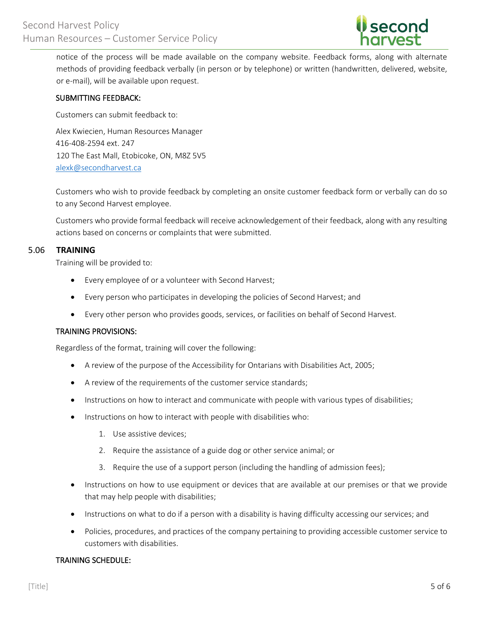

notice of the process will be made available on the company website. Feedback forms, along with alternate methods of providing feedback verbally (in person or by telephone) or written (handwritten, delivered, website, or e-mail), will be available upon request.

#### SUBMITTING FEEDBACK:

Customers can submit feedback to:

Alex Kwiecien, Human Resources Manager 416-408-2594 ext. 247 120 The East Mall, Etobicoke, ON, M8Z 5V5 [alexk@secondharvest.ca](mailto:alexk@secondharvest.ca)

Customers who wish to provide feedback by completing an onsite customer feedback form or verbally can do so to any Second Harvest employee.

Customers who provide formal feedback will receive acknowledgement of their feedback, along with any resulting actions based on concerns or complaints that were submitted.

## 5.06 **TRAINING**

Training will be provided to:

- Every employee of or a volunteer with Second Harvest;
- Every person who participates in developing the policies of Second Harvest; and
- Every other person who provides goods, services, or facilities on behalf of Second Harvest.

#### TRAINING PROVISIONS:

Regardless of the format, training will cover the following:

- A review of the purpose of the Accessibility for Ontarians with Disabilities Act, 2005;
- A review of the requirements of the customer service standards;
- Instructions on how to interact and communicate with people with various types of disabilities;
- Instructions on how to interact with people with disabilities who:
	- 1. Use assistive devices;
	- 2. Require the assistance of a guide dog or other service animal; or
	- 3. Require the use of a support person (including the handling of admission fees);
- Instructions on how to use equipment or devices that are available at our premises or that we provide that may help people with disabilities;
- Instructions on what to do if a person with a disability is having difficulty accessing our services; and
- Policies, procedures, and practices of the company pertaining to providing accessible customer service to customers with disabilities.

#### TRAINING SCHEDULE: